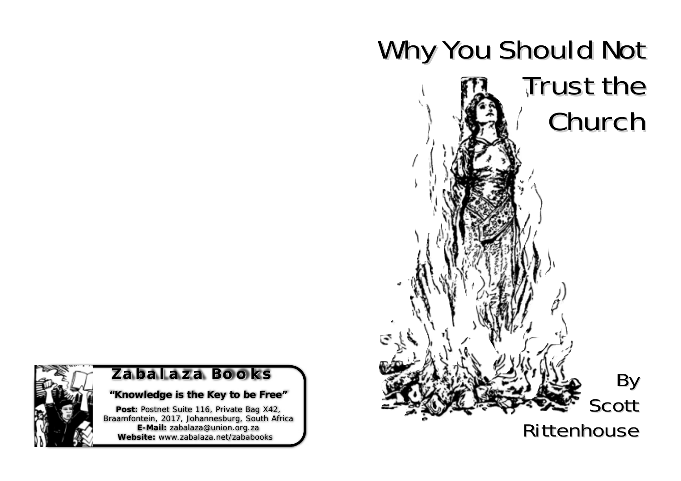



## **Zabalaza Books balaza Books**

## *"Knowledge is the Key to be Free"*

Post: Postnet Suite 116, Private Bag X42, Braamfontein, 2017, Johannesburg, South Africa **E-Mail:** zabalaza@union.org.za **Website:** www.zabalaza.net/zababooks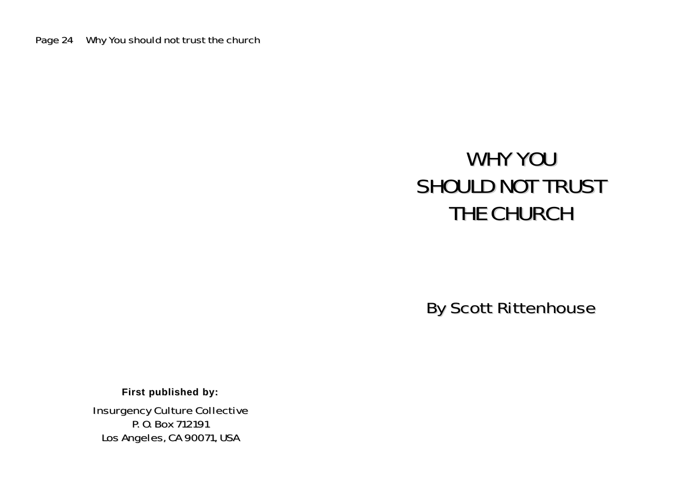# WHY YOU SHOULD NOT TRUST THE CHURCH

By Scott Rittenhouse

**First published by: First published by:**

Insurgency Culture Collective P. O. Box 712191 Los Angeles, CA 90071, USA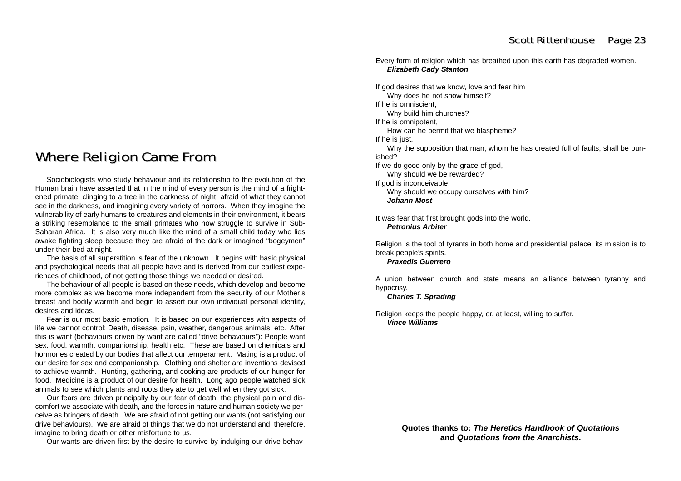## Where Religion Came From

Sociobiologists who study behaviour and its relationship to the evolution of the Human brain have asserted that in the mind of every person is the mind of a frightened primate, clinging to a tree in the darkness of night, afraid of what they cannot see in the darkness, and imagining every variety of horrors. When they imagine the vulnerability of early humans to creatures and elements in their environment, it bears a striking resemblance to the small primates who now struggle to survive in Sub-Saharan Africa. It is also very much like the mind of a small child today who lies awake fighting sleep because they are afraid of the dark or imagined "bogeymen" under their bed at night.

The basis of all superstition is fear of the unknown. It begins with basic physical and psychological needs that all people have and is derived from our earliest experiences of childhood, of not getting those things we needed or desired.

The behaviour of all people is based on these needs, which develop and become more complex as we become more independent from the security of our Mother's breast and bodily warmth and begin to assert our own individual personal identity, desires and ideas.

Fear is our most basic emotion. It is based on our experiences with aspects of life we cannot control: Death, disease, pain, weather, dangerous animals, etc. After this is want (behaviours driven by want are called "drive behaviours"): People want sex, food, warmth, companionship, health etc. These are based on chemicals and hormones created by our bodies that affect our temperament. Mating is a product of our desire for sex and companionship. Clothing and shelter are inventions devised to achieve warmth. Hunting, gathering, and cooking are products of our hunger for food. Medicine is a product of our desire for health. Long ago people watched sick animals to see which plants and roots they ate to get well when they got sick.

Our fears are driven principally by our fear of death, the physical pain and discomfort we associate with death, and the forces in nature and human society we perceive as bringers of death. We are afraid of not getting our wants (not satisfying our drive behaviours). We are afraid of things that we do not understand and, therefore, imagine to bring death or other misfortune to us.

Our wants are driven first by the desire to survive by indulging our drive behav-

Every form of religion which has breathed upon this earth has degraded women. *Elizabeth Cady Stanton*

If god desires that we know, love and fear him

Why does he not show himself?

If he is omniscient,

Why build him churches?

If he is omnipotent,

How can he permit that we blaspheme?

If he is just.

Why the supposition that man, whom he has created full of faults, shall be pun ished?

If we do good only by the grace of god,

Why should we be rewarded?

If god is inconceivable,

Why should we occupy ourselves with him? *Johann Most*

It was fear that first brought gods into the world. *Petronius Arbiter*

Religion is the tool of tyrants in both home and presidential palace; its mission is to break people's spirits.

#### *Praxedis Guerrero*

A union between church and state means an alliance between tyranny and hypocrisy.

*Charles T. Sprading*

Religion keeps the people happy, or, at least, willing to suffer. *Vince Williams*

> **Quotes thanks to:** *The Heretics Handbook of Quotations* **and** *Quotations from the Anarchists***.**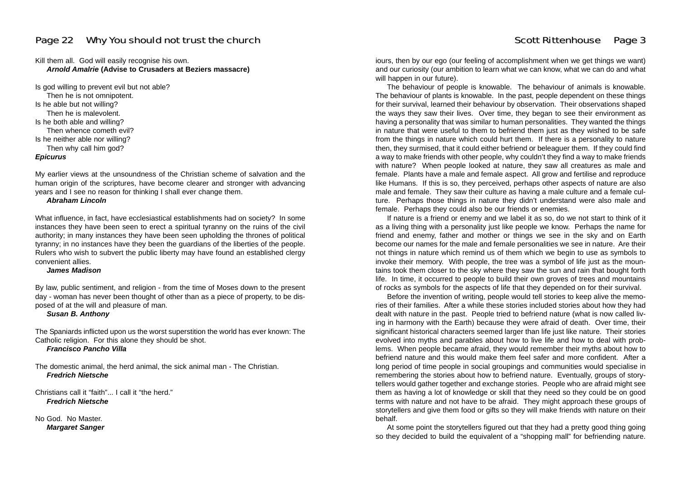Kill them all. God will easily recognise his own. *Arnold Amalrie* **(Advise to Crusaders at Beziers massacre)**

Is god willing to prevent evil but not able? Then he is not omnipotent. Is he able but not willing? Then he is malevolent. Is he both able and willing? Then whence cometh evil? Is he neither able nor willing? Then why call him god? *Epicurus*

My earlier views at the unsoundness of the Christian scheme of salvation and the human origin of the scriptures, have become clearer and stronger with advancing years and I see no reason for thinking I shall ever change them.

*Abraham Lincoln*

What influence, in fact, have ecclesiastical establishments had on society? In some instances they have been seen to erect a spiritual tyranny on the ruins of the civil authority; in many instances they have been seen upholding the thrones of political tyranny; in no instances have they been the guardians of the liberties of the people. Rulers who wish to subvert the public liberty may have found an established clergy convenient allies.

#### *James Madison*

By law, public sentiment, and religion - from the time of Moses down to the present day - woman has never been thought of other than as a piece of property, to be disposed of at the will and pleasure of man.

#### *Susan B. Anthony*

The Spaniards inflicted upon us the worst superstition the world has ever known: The Catholic religion. For this alone they should be shot.

*Francisco Pancho Villa*

The domestic animal, the herd animal, the sick animal man - The Christian. *Fredrich Nietsche*

Christians call it "faith". I call it "the herd." *Fredrich Nietsche*

No God. No Master. *Margaret Sanger*

iours, then by our ego (our feeling of accomplishment when we get things we want) and our curiosity (our ambition to learn what we can know, what we can do and what will happen in our future).

The behaviour of people is knowable. The behaviour of animals is knowable. The behaviour of plants is knowable. In the past, people dependent on these things for their survival, learned their behaviour by observation. Their observations shaped the ways they saw their lives. Over time, they began to see their environment as having a personality that was similar to human personalities. They wanted the things in nature that were useful to them to befriend them just as they wished to be safe from the things in nature which could hurt them. If there is a personality to nature then, they surmised, that it could either befriend or beleaguer them. If they could find a way to make friends with other people, why couldn't they find a way to make friends with nature? When people looked at nature, they saw all creatures as male and female. Plants have a male and female aspect. All grow and fertilise and reproduce like Humans. If this is so, they perceived, perhaps other aspects of nature are also male and female. They saw their culture as having a male culture and a female culture. Perhaps those things in nature they didn't understand were also male and female. Perhaps they could also be our friends or enemies.

If nature is a friend or enemy and we label it as so, do we not start to think of it as a living thing with a personality just like people we know. Perhaps the name for friend and enemy, father and mother or things we see in the sky and on Earth become our names for the male and female personalities we see in nature. Are their not things in nature which remind us of them which we begin to use as symbols to invoke their memory. With people, the tree was a symbol of life just as the mountains took them closer to the sky where they saw the sun and rain that bought forth life. In time, it occurred to people to build their own groves of trees and mountains of rocks as symbols for the aspects of life that they depended on for their survival.

Before the invention of writing, people would tell stories to keep alive the memories of their families. After a while these stories included stories about how they had dealt with nature in the past. People tried to befriend nature (what is now called living in harmony with the Earth) because they were afraid of death. Over time, their significant historical characters seemed larger than life just like nature. Their stories evolved into myths and parables about how to live life and how to deal with problems. When people became afraid, they would remember their myths about how to befriend nature and this would make them feel safer and more confident. After a long period of time people in social groupings and communities would specialise in remembering the stories about how to befriend nature. Eventually, groups of storytellers would gather together and exchange stories. People who are afraid might see them as having a lot of knowledge or skill that they need so they could be on good terms with nature and not have to be afraid. They might approach these groups of storytellers and give them food or gifts so they will make friends with nature on their behalf.

At some point the storytellers figured out that they had a pretty good thing going so they decided to build the equivalent of a "shopping mall" for befriending nature.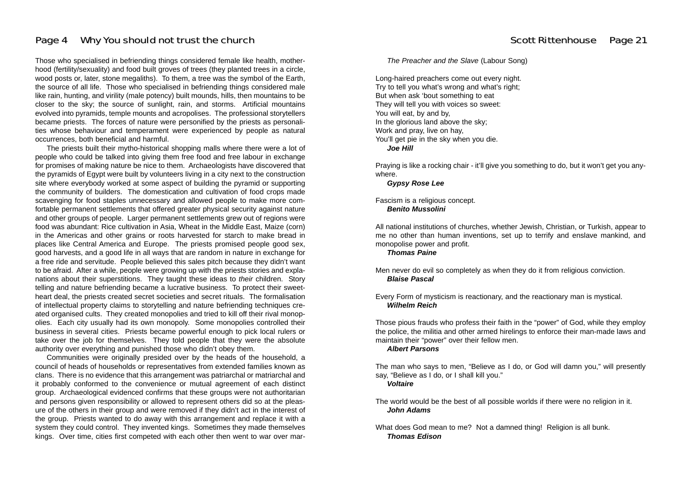## Page 4 Why You should not trust the church our should not trust the church should not trust the church state should not trust the church state  $\frac{1}{2}$  Scott Rittenhouse Page 21

Those who specialised in befriending things considered female like health, motherhood (fertility/sexuality) and food built groves of trees (they planted trees in a circle, wood posts or, later, stone megaliths). To them, a tree was the symbol of the Earth, the source of all life. Those who specialised in befriending things considered male like rain, hunting, and virility (male potency) built mounds, hills, then mountains to be closer to the sky; the source of sunlight, rain, and storms. Artificial mountains evolved into pyramids, temple mounts and acropolises. The professional storytellers became priests. The forces of nature were personified by the priests as personalities whose behaviour and temperament were experienced by people as natural occurrences, both beneficial and harmful.

The priests built their mytho-historical shopping malls where there were a lot of people who could be talked into giving them free food and free labour in exchange for promises of making nature be nice to them. Archaeologists have discovered that the pyramids of Egypt were built by volunteers living in a city next to the construction site where everybody worked at some aspect of building the pyramid or supporting the community of builders. The domestication and cultivation of food crops made scavenging for food staples unnecessary and allowed people to make more comfortable permanent settlements that offered greater physical security against nature and other groups of people. Larger permanent settlements grew out of regions were food was abundant: Rice cultivation in Asia, Wheat in the Middle East, Maize (corn) in the Americas and other grains or roots harvested for starch to make bread in places like Central America and Europe. The priests promised people good sex, good harvests, and a good life in all ways that are random in nature in exchange for a free ride and servitude. People believed this sales pitch because they didn't want to be afraid. After a while, people were growing up with the priests stories and explanations about their superstitions. They taught these ideas to *their* children. Story telling and nature befriending became a lucrative business. To protect their sweetheart deal, the priests created secret societies and secret rituals. The formalisation of intellectual property claims to storytelling and nature befriending techniques created organised cults. They created monopolies and tried to kill off their rival monopolies. Each city usually had its own monopoly. Some monopolies controlled their business in several cities. Priests became powerful enough to pick local rulers or take over the job for themselves. They told people that they were the absolute authority over everything and punished those who didn't obey them.

Communities were originally presided over by the heads of the household, a council of heads of households or representatives from extended families known as clans. There is no evidence that this arrangement was patriarchal or matriarchal and it probably conformed to the convenience or mutual agreement of each distinct group. Archaeological evidenced confirms that these groups were not authoritarian and persons given responsibility or allowed to represent others did so at the pleasure of the others in their group and were removed if they didn't act in the interest of the group. Priests wanted to do away with this arrangement and replace it with a system they could control. They invented kings. Sometimes they made themselves kings. Over time, cities first competed with each other then went to war over mar*The Preacher and the Slave* (Labour Song)

Long-haired preachers come out every night. Try to tell you what's wrong and what's right; But when ask 'bout something to eat They will tell you with voices so sweet: You will eat, by and by, In the glorious land above the sky; Work and pray, live on hay, You'll get pie in the sky when you die. *Joe Hill*

Praying is like a rocking chair - it'll give you something to do, but it won't get you any where.

*Gypsy Rose Lee*

Fascism is a religious concept. *Benito Mussolini*

All national institutions of churches, whether Jewish, Christian, or Turkish, appear to me no other than human inventions, set up to terrify and enslave mankind, and monopolise power and profit.

*Thomas Paine*

Men never do evil so completely as when they do it from religious conviction. *Blaise Pascal*

Every Form of mysticism is reactionary, and the reactionary man is mystical. *Wilhelm Reich*

Those pious frauds who profess their faith in the "power" of God, while they employ the police, the militia and other armed hirelings to enforce their man-made laws and maintain their "power" over their fellow men. *Albert Parsons*

The man who says to men, "Believe as I do, or God will damn you," will presently say, "Believe as I do, or I shall kill you."

*Voltaire*

The world would be the best of all possible worlds if there were no religion in it. *John Adams*

What does God mean to me? Not a damned thing! Religion is all bunk. *Thomas Edison*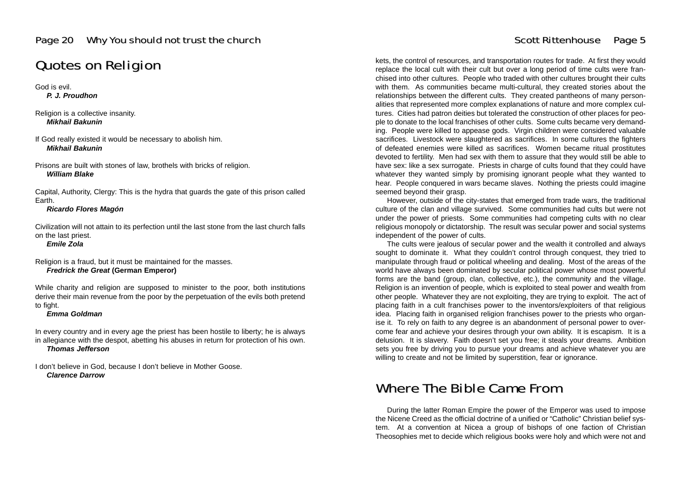## Quotes on Religion

God is evil.

*P. J. Proudhon*

Religion is a collective insanity. *Mikhail Bakunin*

If God really existed it would be necessary to abolish him. *Mikhail Bakunin*

Prisons are built with stones of law, brothels with bricks of religion. *William Blake*

Capital, Authority, Clergy: This is the hydra that guards the gate of this prison called Earth.

*Ricardo Flores Magón*

Civilization will not attain to its perfection until the last stone from the last church falls on the last priest.

*Emile Zola*

Religion is a fraud, but it must be maintained for the masses. *Fredrick the Great* **(German Emperor)**

While charity and religion are supposed to minister to the poor, both institutions derive their main revenue from the poor by the perpetuation of the evils both pretend to fight.

### *Emma Goldman*

In every country and in every age the priest has been hostile to liberty; he is always in allegiance with the despot, abetting his abuses in return for protection of his own. *Thomas Jefferson*

I don't believe in God, because I don't believe in Mother Goose. *Clarence Darrow*

kets, the control of resources, and transportation routes for trade. At first they would replace the local cult with their cult but over a long period of time cults were franchised into other cultures. People who traded with other cultures brought their cults with them. As communities became multi-cultural, they created stories about the relationships between the different cults. They created pantheons of many personalities that represented more complex explanations of nature and more complex cultures. Cities had patron deities but tolerated the construction of other places for people to donate to the local franchises of other cults. Some cults became very demanding. People were killed to appease gods. Virgin children were considered valuable sacrifices. Livestock were slaughtered as sacrifices. In some cultures the fighters of defeated enemies were killed as sacrifices. Women became ritual prostitutes devoted to fertility. Men had sex with them to assure that they would still be able to have sex: like a sex surrogate. Priests in charge of cults found that they could have whatever they wanted simply by promising ignorant people what they wanted to hear. People conquered in wars became slaves. Nothing the priests could imagine seemed beyond their grasp.

However, outside of the city-states that emerged from trade wars, the traditional culture of the clan and village survived. Some communities had cults but were not under the power of priests. Some communities had competing cults with no clear religious monopoly or dictatorship. The result was secular power and social systems independent of the power of cults.

The cults were jealous of secular power and the wealth it controlled and always sought to dominate it. What they couldn't control through conquest, they tried to manipulate through fraud or political wheeling and dealing. Most of the areas of the world have always been dominated by secular political power whose most powerful forms are the band (group, clan, collective, etc.), the community and the village. Religion is an invention of people, which is exploited to steal power and wealth from other people. Whatever they are not exploiting, they are trying to exploit. The act of placing faith in a cult franchises power to the inventors/exploiters of that religious idea. Placing faith in organised religion franchises power to the priests who organise it. To rely on faith to any degree is an abandonment of personal power to overcome fear and achieve your desires through your own ability. It is escapism. It is a delusion. It is slavery. Faith doesn't set you free; it steals your dreams. Ambition sets you free by driving you to pursue your dreams and achieve whatever you are willing to create and not be limited by superstition, fear or ignorance.

## Where The Bible Came From

During the latter Roman Empire the power of the Emperor was used to impose the Nicene Creed as the official doctrine of a unified or "Catholic" Christian belief system. At a convention at Nicea a group of bishops of one faction of Christian Theosophies met to decide which religious books were holy and which were not and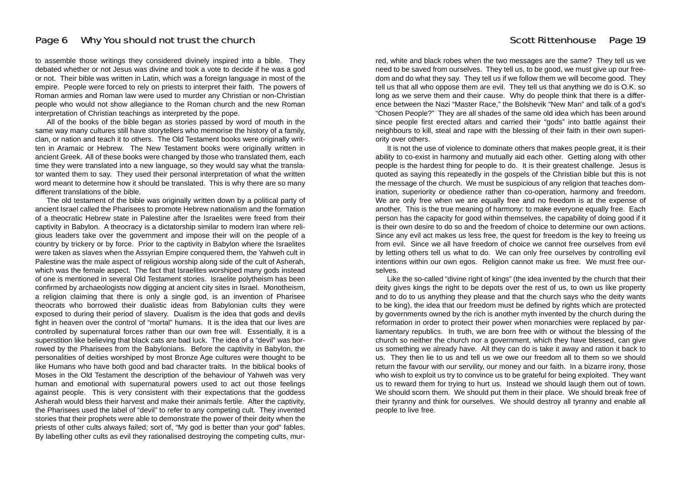### Page 6 Why You should not trust the church our should not trust the church should not trust the church state of the state  $\frac{1}{2}$  Scott Rittenhouse Page 19

to assemble those writings they considered divinely inspired into a bible. They debated whether or not Jesus was divine and took a vote to decide if he was a god or not. Their bible was written in Latin, which was a foreign language in most of the empire. People were forced to rely on priests to interpret their faith. The powers of Roman armies and Roman law were used to murder any Christian or non-Christian people who would not show allegiance to the Roman church and the new Roman interpretation of Christian teachings as interpreted by the pope.

All of the books of the bible began as stories passed by word of mouth in the same way many cultures still have storytellers who memorise the history of a family, clan, or nation and teach it to others. The Old Testament books were originally written in Aramaic or Hebrew. The New Testament books were originally written in ancient Greek. All of these books were changed by those who translated them, each time they were translated into a new language, so they would say what the translator wanted them to say. They used their personal interpretation of what the written word meant to determine how it should be translated. This is why there are so many different translations of the bible.

The old testament of the bible was originally written down by a political party of ancient Israel called the Pharisees to promote Hebrew nationalism and the formation of a theocratic Hebrew state in Palestine after the Israelites were freed from their captivity in Babylon. A theocracy is a dictatorship similar to modern Iran where religious leaders take over the government and impose their will on the people of a country by trickery or by force. Prior to the captivity in Babylon where the Israelites were taken as slaves when the Assyrian Empire conquered them, the Yahweh cult in Palestine was the male aspect of religious worship along side of the cult of Asherah, which was the female aspect. The fact that Israelites worshiped many gods instead of one is mentioned in several Old Testament stories. Israelite polytheism has been confirmed by archaeologists now digging at ancient city sites in Israel. Monotheism, a religion claiming that there is only a single god, is an invention of Pharisee theocrats who borrowed their dualistic ideas from Babylonian cults they were exposed to during their period of slavery. Dualism is the idea that gods and devils fight in heaven over the control of "mortal" humans. It is the idea that our lives are controlled by supernatural forces rather than our own free will. Essentially, it is a superstition like believing that black cats are bad luck. The idea of a "devil" was borrowed by the Pharisees from the Babylonians. Before the captivity in Babylon, the personalities of deities worshiped by most Bronze Age cultures were thought to be like Humans who have both good and bad character traits. In the biblical books of Moses in the Old Testament the description of the behaviour of Yahweh was very human and emotional with supernatural powers used to act out those feelings against people. This is very consistent with their expectations that the goddess Asherah would bless their harvest and make their animals fertile. After the captivity, the Pharisees used the label of "devil" to refer to any competing cult. They invented stories that their prophets were able to demonstrate the power of their deity when the priests of other cults always failed; sort of, "My god is better than your god" fables. By labelling other cults as evil they rationalised destroying the competing cults, mur-

red, white and black robes when the two messages are the same? They tell us we need to be saved from ourselves. They tell us, to be good, we must give up our free dom and do what they say. They tell us if we follow them we will become good. They tell us that all who oppose them are evil. They tell us that anything we do is O.K. so long as we serve them and their cause. Why do people think that there is a differ ence between the Nazi "Master Race," the Bolshevik "New Man" and talk of a god's "Chosen People?" They are all shades of the same old idea which has been around since people first erected altars and carried their "gods" into battle against their neighbours to kill, steal and rape with the blessing of their faith in their own superi ority over others.

It is not the use of violence to dominate others that makes people great, it is their ability to co-exist in harmony and mutually aid each other. Getting along with other people is the hardest thing for people to do. It is their greatest challenge. Jesus is quoted as saying this repeatedly in the gospels of the Christian bible but this is not the message of the church. We must be suspicious of any religion that teaches dom ination, superiority or obedience rather than co-operation, harmony and freedom. We are only free when we are equally free and no freedom is at the expense of another. This is the true meaning of harmony: to make everyone equally free. Each person has the capacity for good within themselves, the capability of doing good if it is their own desire to do so and the freedom of choice to determine our own actions. Since any evil act makes us less free, the quest for freedom is the key to freeing us from evil. Since we all have freedom of choice we cannot free ourselves from evil by letting others tell us what to do. We can only free ourselves by controlling evil intentions within our own egos. Religion cannot make us free. We must free our selves.

Like the so-called "divine right of kings" (the idea invented by the church that their deity gives kings the right to be depots over the rest of us, to own us like property and to do to us anything they please and that the church says who the deity wants to be king), the idea that our freedom must be defined by rights which are protected by governments owned by the rich is another myth invented by the church during the reformation in order to protect their power when monarchies were replaced by par liamentary republics. In truth, we are born free with or without the blessing of the church so neither the church nor a government, which they have blessed, can give us something we already have. All they can do is take it away and ration it back to us. They then lie to us and tell us we owe our freedom all to them so we should return the favour with our servility, our money and our faith. In a bizarre irony, those who wish to exploit us try to convince us to be grateful for being exploited. They want us to reward them for trying to hurt us. Instead we should laugh them out of town. We should scorn them. We should put them in their place. We should break free of their tyranny and think for ourselves. We should destroy all tyranny and enable all people to live free.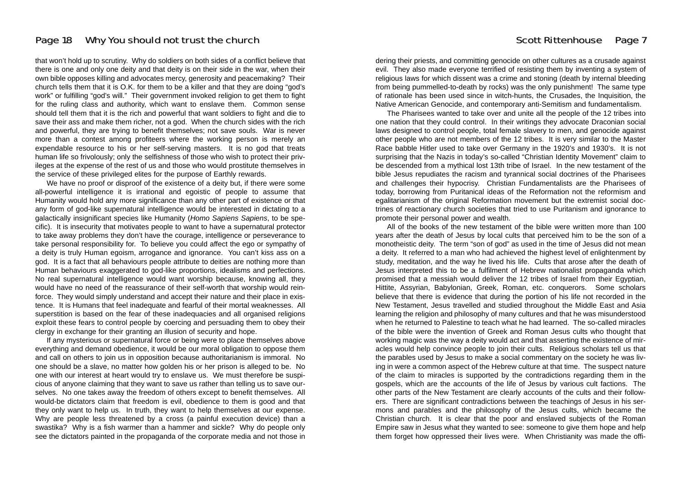## Page 18 Why You should not trust the church our should not trust the church should not trust the church state should not trust the church state of the should not trust the church state  $P$  and  $P$  is the state of the state

that won't hold up to scrutiny. Why do soldiers on both sides of a conflict believe that there is one and only one deity and that deity is on their side in the war, when their own bible opposes killing and advocates mercy, generosity and peacemaking? Their church tells them that it is O.K. for them to be a killer and that they are doing "god's work" or fulfilling "god's will." Their government invoked religion to get them to fight for the ruling class and authority, which want to enslave them. Common sense should tell them that it is the rich and powerful that want soldiers to fight and die to save their ass and make them richer, not a god. When the church sides with the rich and powerful, they are trying to benefit themselves; not save souls. War is never more than a contest among profiteers where the working person is merely an expendable resource to his or her self-serving masters. It is no god that treats human life so frivolously; only the selfishness of those who wish to protect their privileges at the expense of the rest of us and those who would prostitute themselves in the service of these privileged elites for the purpose of Earthly rewards.

We have no proof or disproof of the existence of a deity but, if there were some all-powerful intelligence it is irrational and egoistic of people to assume that Humanity would hold any more significance than any other part of existence or that any form of god-like supernatural intelligence would be interested in dictating to a galactically insignificant species like Humanity (*Homo Sapiens Sapiens*, to be specific). It is insecurity that motivates people to want to have a supernatural protector to take away problems they don't have the courage, intelligence or perseverance to take personal responsibility for. To believe you could affect the ego or sympathy of a deity is truly Human egoism, arrogance and ignorance. You can't kiss ass on a god. It is a fact that all behaviours people attribute to deities are nothing more than Human behaviours exaggerated to god-like proportions, idealisms and perfections. No real supernatural intelligence would want worship because, knowing all, they would have no need of the reassurance of their self-worth that worship would reinforce. They would simply understand and accept their nature and their place in existence. It is Humans that feel inadequate and fearful of their mortal weaknesses. All superstition is based on the fear of these inadequacies and all organised religions exploit these fears to control people by coercing and persuading them to obey their clergy in exchange for their granting an illusion of security and hope.

If any mysterious or supernatural force or being were to place themselves above everything and demand obedience, it would be our moral obligation to oppose them and call on others to join us in opposition because authoritarianism is immoral. No one should be a slave, no matter how golden his or her prison is alleged to be. No one with our interest at heart would try to enslave us. We must therefore be suspicious of anyone claiming that they want to save us rather than telling us to save ourselves. No one takes away the freedom of others except to benefit themselves. All would-be dictators claim that freedom is evil, obedience to them is good and that they only want to help us. In truth, they want to help themselves at our expense. Why are people less threatened by a cross (a painful execution device) than a swastika? Why is a fish warmer than a hammer and sickle? Why do people only see the dictators painted in the propaganda of the corporate media and not those in

dering their priests, and committing genocide on other cultures as a crusade against evil. They also made everyone terrified of resisting them by inventing a system of religious laws for which dissent was a crime and stoning (death by internal bleeding from being pummelled-to-death by rocks) was the only punishment! The same type of rationale has been used since in witch-hunts, the Crusades, the Inquisition, the Native American Genocide, and contemporary anti-Semitism and fundamentalism.

The Pharisees wanted to take over and unite all the people of the 12 tribes into one nation that they could control. In their writings they advocate Draconian social laws designed to control people, total female slavery to men, and genocide against other people who are not members of the 12 tribes. It is very similar to the Master Race babble Hitler used to take over Germany in the 1920's and 1930's. It is not surprising that the Nazis in today's so-called "Christian Identity Movement" claim to be descended from a mythical lost 13th tribe of Israel. In the new testament of the bible Jesus repudiates the racism and tyrannical social doctrines of the Pharisees and challenges their hypocrisy. Christian Fundamentalists are the Pharisees of today, borrowing from Puritanical ideas of the Reformation not the reformism and egalitarianism of the original Reformation movement but the extremist social doctrines of reactionary church societies that tried to use Puritanism and ignorance to promote their personal power and wealth.

All of the books of the new testament of the bible were written more than 100 years after the death of Jesus by local cults that perceived him to be the son of a monotheistic deity. The term "son of god" as used in the time of Jesus did not mean a deity. It referred to a man who had achieved the highest level of enlightenment by study, meditation, and the way he lived his life. Cults that arose after the death of Jesus interpreted this to be a fulfilment of Hebrew nationalist propaganda which promised that a messiah would deliver the 12 tribes of Israel from their Egyptian, Hittite, Assyrian, Babylonian, Greek, Roman, etc. conquerors. Some scholars believe that there is evidence that during the portion of his life not recorded in the New Testament, Jesus travelled and studied throughout the Middle East and Asia learning the religion and philosophy of many cultures and that he was misunderstood when he returned to Palestine to teach what he had learned. The so-called miracles of the bible were the invention of Greek and Roman Jesus cults who thought that working magic was the way a deity would act and that asserting the existence of miracles would help convince people to join their cults. Religious scholars tell us that the parables used by Jesus to make a social commentary on the society he was living in were a common aspect of the Hebrew culture at that time. The suspect nature of the claim to miracles is supported by the contradictions regarding them in the gospels, which are the accounts of the life of Jesus by various cult factions. The other parts of the New Testament are clearly accounts of the cults and their followers. There are significant contradictions between the teachings of Jesus in his sermons and parables and the philosophy of the Jesus cults, which became the Christian church. It is clear that the poor and enslaved subjects of the Roman Empire saw in Jesus what they wanted to see: someone to give them hope and help them forget how oppressed their lives were. When Christianity was made the offi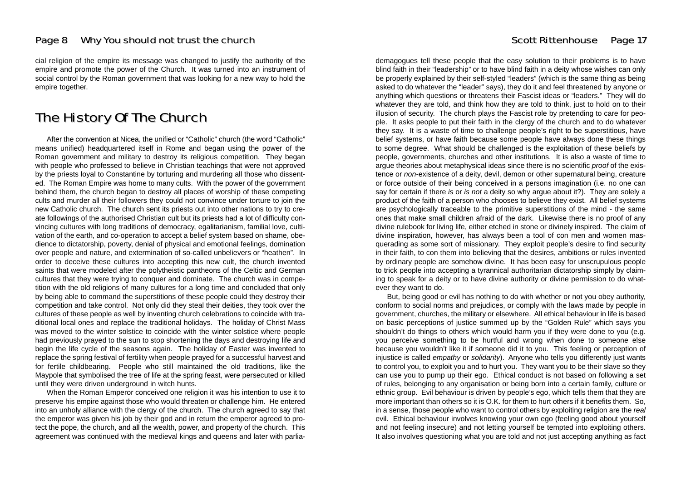cial religion of the empire its message was changed to justify the authority of the empire and promote the power of the Church. It was turned into an instrument of social control by the Roman government that was looking for a new way to hold the empire together.

## The History Of The Church

After the convention at Nicea, the unified or "Catholic" church (the word "Catholic" means unified) headquartered itself in Rome and began using the power of the Roman government and military to destroy its religious competition. They began with people who professed to believe in Christian teachings that were not approved by the priests loyal to Constantine by torturing and murdering all those who dissented. The Roman Empire was home to many cults. With the power of the government behind them, the church began to destroy all places of worship of these competing cults and murder all their followers they could not convince under torture to join the new Catholic church. The church sent its priests out into other nations to try to create followings of the authorised Christian cult but its priests had a lot of difficulty convincing cultures with long traditions of democracy, egalitarianism, familial love, cultivation of the earth, and co-operation to accept a belief system based on shame, obedience to dictatorship, poverty, denial of physical and emotional feelings, domination over people and nature, and extermination of so-called unbelievers or "heathen". In order to deceive these cultures into accepting this new cult, the church invented saints that were modeled after the polytheistic pantheons of the Celtic and German cultures that they were trying to conquer and dominate. The church was in competition with the old religions of many cultures for a long time and concluded that only by being able to command the superstitions of these people could they destroy their competition and take control. Not only did they steal their deities, they took over the cultures of these people as well by inventing church celebrations to coincide with traditional local ones and replace the traditional holidays. The holiday of Christ Mass was moved to the winter solstice to coincide with the winter solstice where people had previously prayed to the sun to stop shortening the days and destroying life and begin the life cycle of the seasons again. The holiday of Easter was invented to replace the spring festival of fertility when people prayed for a successful harvest and for fertile childbearing. People who still maintained the old traditions, like the Maypole that symbolised the tree of life at the spring feast, were persecuted or killed until they were driven underground in witch hunts.

When the Roman Emperor conceived one religion it was his intention to use it to preserve his empire against those who would threaten or challenge him. He entered into an unholy alliance with the clergy of the church. The church agreed to say that the emperor was given his job by their god and in return the emperor agreed to protect the pope, the church, and all the wealth, power, and property of the church. This agreement was continued with the medieval kings and queens and later with parlia-

demagogues tell these people that the easy solution to their problems is to have blind faith in their "leadership" or to have blind faith in a deity whose wishes can only be properly explained by their self-styled "leaders" (which is the same thing as being asked to do whatever the "leader" says), they do it and feel threatened by anyone or anything which questions or threatens their Fascist ideas or "leaders." They will do whatever they are told, and think how they are told to think, just to hold on to their illusion of security. The church plays the Fascist role by pretending to care for peo ple. It asks people to put their faith in the clergy of the church and to do whatever they say. It is a waste of time to challenge people's right to be superstitious, have belief systems, or have faith because some people have always done these things to some degree. What should be challenged is the exploitation of these beliefs by people, governments, churches and other institutions. It is also a waste of time to argue theories about metaphysical ideas since there is no scientific *proof* of the exis tence or *non*-existence of a deity, devil, demon or other supernatural being, creature or force outside of their being conceived in a persons imagination (i.e. no one can say for certain if there *is* or *is not* a deity so why argue about it?). They are solely a product of the faith of a person who chooses to believe they exist. All belief systems are psychologically traceable to the primitive superstitions of the mind - the same ones that make small children afraid of the dark. Likewise there is no proof of any divine rulebook for living life, either etched in stone or divinely inspired. The claim of divine inspiration, however, has always been a tool of con men and women mas querading as some sort of missionary. They exploit people's desire to find security in their faith, to con them into believing that the desires, ambitions or rules invented by ordinary people are somehow divine. It has been easy for unscrupulous people to trick people into accepting a tyrannical authoritarian dictatorship simply by claim ing to speak for a deity or to have divine authority or divine permission to do what ever they want to do. **Excell at these people that the easy solution** is the heavy solution to their problems is to have beyondy orgained by their set-style whose wishes can only beyond that the set-style the set-style the set-style in the set

But, being good or evil has nothing to do with whether or not you obey authority, conform to social norms and prejudices, or comply with the laws made by people in government, churches, the military or elsewhere. All ethical behaviour in life is based on basic perceptions of justice summed up by the "Golden Rule" which says you shouldn't do things to others which would harm you if they were done to you (e.g. you perceive something to be hurtful and wrong when done to someone else because you wouldn't like it if someone did it to you. This feeling or perception of injustice is called *empathy* or *solidarity*). Anyone who tells you differently just wants to control you, to exploit you and to hurt you. They want you to be their slave so they can use you to pump up their ego. Ethical conduct is not based on following a set of rules, belonging to any organisation or being born into a certain family, culture or ethnic group. Evil behaviour is driven by people's ego, which tells them that they are more important than others so it is O.K. for them to hurt others if it benefits them. So, in a sense, those people who want to control others by exploiting religion are the *real* evil. Ethical behaviour involves knowing your own ego (feeling good about yourself and not feeling insecure) and not letting yourself be tempted into exploiting others.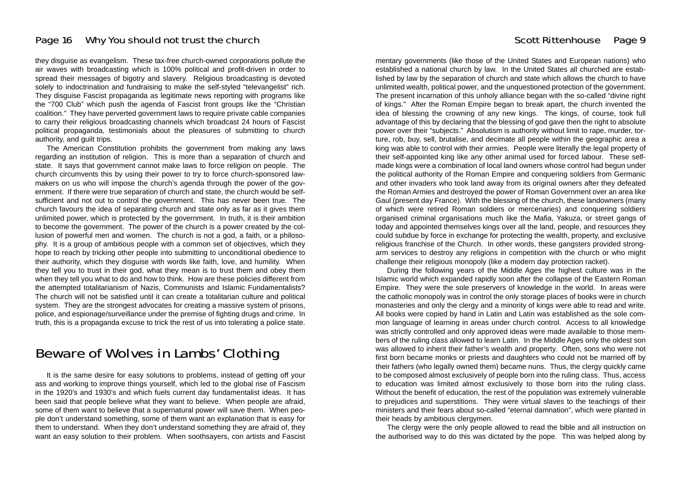## Page 16 Why You should not trust the church our should not trust the church should not trust the church state  $9$

they disguise as evangelism. These tax-free church-owned corporations pollute the air waves with broadcasting which is 100% political and profit-driven in order to spread their messages of bigotry and slavery. Religious broadcasting is devoted solely to indoctrination and fundraising to make the self-styled "televangelist" rich. They disguise Fascist propaganda as legitimate news reporting with programs like the "700 Club" which push the agenda of Fascist front groups like the "Christian coalition." They have perverted government laws to require private cable companies to carry their religious broadcasting channels which broadcast 24 hours of Fascist political propaganda, testimonials about the pleasures of submitting to church authority, and guilt trips.

The American Constitution prohibits the government from making any laws regarding an institution of religion. This is more than a separation of church and state. It says that government cannot make laws to force religion on people. The church circumvents this by using their power to try to force church-sponsored lawmakers on us who will impose the church's agenda through the power of the government. If there were true separation of church and state, the church would be selfsufficient and not out to control the government. This has never been true. The church favours the idea of separating church and state only as far as it gives them unlimited power, which is protected by the government. In truth, it is their ambition to become the government. The power of the church is a power created by the collusion of powerful men and women. The church is not a god, a faith, or a philosophy. It is a group of ambitious people with a common set of objectives, which they hope to reach by tricking other people into submitting to unconditional obedience to their authority, which they disguise with words like faith, love, and humility. When they tell you to trust in their god, what they mean is to trust them and obey them when they tell you what to do and how to think. How are these policies different from the attempted totalitarianism of Nazis, Communists and Islamic Fundamentalists? The church will not be satisfied until it can create a totalitarian culture and political system. They are the strongest advocates for creating a massive system of prisons, police, and espionage/surveillance under the premise of fighting drugs and crime. In truth, this is a propaganda excuse to trick the rest of us into tolerating a police state.

## Beware of Wolves in Lambs' Clothing

It is the same desire for easy solutions to problems, instead of getting off your ass and working to improve things yourself, which led to the global rise of Fascism in the 1920's and 1930's and which fuels current day fundamentalist ideas. It has been said that people believe what they want to believe. When people are afraid, some of them want to believe that a supernatural power will save them. When people don't understand something, some of them want an explanation that is easy for them to understand. When they don't understand something they are afraid of, they want an easy solution to their problem. When soothsayers, con artists and Fascist

mentary governments (like those of the United States and European nations) who established a national church by law. In the United States all churched are established by law by the separation of church and state which allows the church to have unlimited wealth, political power, and the unquestioned protection of the government. The present incarnation of this unholy alliance began with the so-called "divine right of kings." After the Roman Empire began to break apart, the church invented the idea of blessing the crowning of any new kings. The kings, of course, took full advantage of this by declaring that the blessing of god gave then the right to absolute power over their "subjects." Absolutism is authority without limit to rape, murder, torture, rob, buy, sell, brutalise, and decimate all people within the geographic area a king was able to control with their armies. People were literally the legal property of their self-appointed king like any other animal used for forced labour. These selfmade kings were a combination of local land owners whose control had begun under the political authority of the Roman Empire and conquering soldiers from Germanic and other invaders who took land away from its original owners after they defeated the Roman Armies and destroyed the power of Roman Government over an area like Gaul (present day France). With the blessing of the church, these landowners (many of which were retired Roman soldiers or mercenaries) and conquering soldiers organised criminal organisations much like the Mafia, Yakuza, or street gangs of today and appointed themselves kings over all the land, people, and resources they could subdue by force in exchange for protecting the wealth, property, and exclusive religious franchise of the Church. In other words, these gangsters provided strongarm services to destroy any religions in competition with the church or who might challenge their religious monopoly (like a modern day protection racket).

During the following years of the Middle Ages the highest culture was in the Islamic world which expanded rapidly soon after the collapse of the Eastern Roman Empire. They were the sole preservers of knowledge in the world. In areas were the catholic monopoly was in control the only storage places of books were in church monasteries and only the clergy and a minority of kings were able to read and write. All books were copied by hand in Latin and Latin was established as the sole common language of learning in areas under church control. Access to all knowledge was strictly controlled and only approved ideas were made available to those members of the ruling class allowed to learn Latin. In the Middle Ages only the oldest son was allowed to inherit their father's wealth and property. Often, sons who were not first born became monks or priests and daughters who could not be married off by their fathers (who legally owned them) became nuns. Thus, the clergy quickly came to be composed almost exclusively of people born into the ruling class. Thus, access to education was limited almost exclusively to those born into the ruling class. Without the benefit of education, the rest of the population was extremely vulnerable to prejudices and superstitions. They were virtual slaves to the teachings of their ministers and their fears about so-called "eternal damnation", which were planted in their heads by ambitious clergymen.

The clergy were the only people allowed to read the bible and all instruction on the authorised way to do this was dictated by the pope. This was helped along by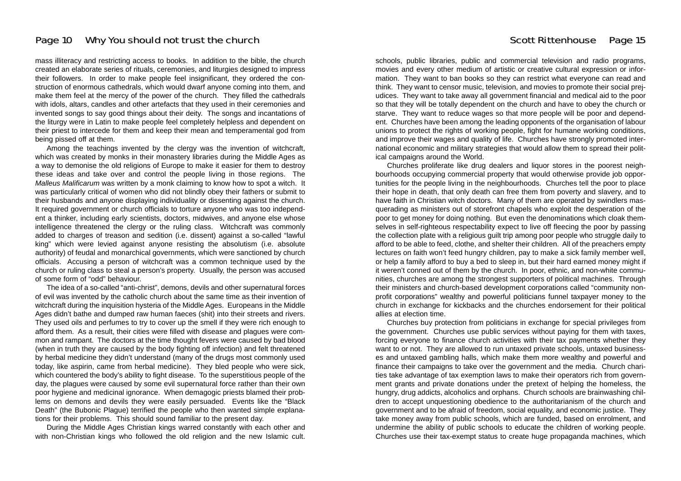mass illiteracy and restricting access to books. In addition to the bible, the church created an elaborate series of rituals, ceremonies, and liturgies designed to impress their followers. In order to make people feel insignificant, they ordered the construction of enormous cathedrals, which would dwarf anyone coming into them, and make them feel at the mercy of the power of the church. They filled the cathedrals with idols, altars, candles and other artefacts that they used in their ceremonies and invented songs to say good things about their deity. The songs and incantations of the liturgy were in Latin to make people feel completely helpless and dependent on their priest to intercede for them and keep their mean and temperamental god from being pissed off at them.

Among the teachings invented by the clergy was the invention of witchcraft, which was created by monks in their monastery libraries during the Middle Ages as a way to demonise the old religions of Europe to make it easier for them to destroy these ideas and take over and control the people living in those regions. The *Malleus Malificarum* was written by a monk claiming to know how to spot a witch. It was particularly critical of women who did not blindly obey their fathers or submit to their husbands and anyone displaying individuality or dissenting against the church. It required government or church officials to torture anyone who was too independent a thinker, including early scientists, doctors, midwives, and anyone else whose intelligence threatened the clergy or the ruling class. Witchcraft was commonly added to charges of treason and sedition (i.e. dissent) against a so-called "lawful king" which were levied against anyone resisting the absolutism (i.e. absolute authority) of feudal and monarchical governments, which were sanctioned by church officials. Accusing a person of witchcraft was a common technique used by the church or ruling class to steal a person's property. Usually, the person was accused of some form of "odd" behaviour.

The idea of a so-called "anti-christ", demons, devils and other supernatural forces of evil was invented by the catholic church about the same time as their invention of witchcraft during the inquisition hysteria of the Middle Ages. Europeans in the Middle Ages didn't bathe and dumped raw human faeces (shit) into their streets and rivers. They used oils and perfumes to try to cover up the smell if they were rich enough to afford them. As a result, their cities were filled with disease and plagues were common and rampant. The doctors at the time thought fevers were caused by bad blood (when in truth they are caused by the body fighting off infection) and felt threatened by herbal medicine they didn't understand (many of the drugs most commonly used today, like aspirin, came from herbal medicine). They bled people who were sick, which countered the body's ability to fight disease. To the superstitious people of the day, the plagues were caused by some evil supernatural force rather than their own poor hygiene and medicinal ignorance. When demagogic priests blamed their problems on demons and devils they were easily persuaded. Events like the "Black Death" (the Bubonic Plague) terrified the people who then wanted simple explanations for their problems. This should sound familiar to the present day.

During the Middle Ages Christian kings warred constantly with each other and with non-Christian kings who followed the old religion and the new Islamic cult. schools, public libraries, public and commercial television and radio programs, movies and every other medium of artistic or creative cultural expression or information. They want to ban books so they can restrict what everyone can read and think. They want to censor music, television, and movies to promote their social prejudices. They want to take away all government financial and medical aid to the poor so that they will be totally dependent on the church and have to obey the church or starve. They want to reduce wages so that more people will be poor and dependent. Churches have been among the leading opponents of the organisation of labour unions to protect the rights of working people, fight for humane working conditions, and improve their wages and quality of life. Churches have strongly promoted international economic and military strategies that would allow them to spread their political campaigns around the World.

Churches proliferate like drug dealers and liquor stores in the poorest neighbourhoods occupying commercial property that would otherwise provide job opportunities for the people living in the neighbourhoods. Churches tell the poor to place their hope in death, that only death can free them from poverty and slavery, and to have faith in Christian witch doctors. Many of them are operated by swindlers masquerading as ministers out of storefront chapels who exploit the desperation of the poor to get money for doing nothing. But even the denominations which cloak themselves in self-righteous respectability expect to live off fleecing the poor by passing the collection plate with a religious guilt trip among poor people who struggle daily to afford to be able to feed, clothe, and shelter their children. All of the preachers empty lectures on faith won't feed hungry children, pay to make a sick family member well, or help a family afford to buy a bed to sleep in, but their hard earned money might if it weren't conned out of them by the church. In poor, ethnic, and non-white communities, churches are among the strongest supporters of political machines. Through their ministers and church-based development corporations called "community nonprofit corporations" wealthy and powerful politicians funnel taxpayer money to the church in exchange for kickbacks and the churches endorsement for their political allies at election time.

Churches buy protection from politicians in exchange for special privileges from the government. Churches use public services without paying for them with taxes, forcing everyone to finance church activities with their tax payments whether they want to or not. They are allowed to run untaxed private schools, untaxed businesses and untaxed gambling halls, which make them more wealthy and powerful and finance their campaigns to take over the government and the media. Church charities take advantage of tax exemption laws to make their operators rich from government grants and private donations under the pretext of helping the homeless, the hungry, drug addicts, alcoholics and orphans. Church schools are brainwashing children to accept unquestioning obedience to the authoritarianism of the church and government and to be afraid of freedom, social equality, and economic justice. They take money away from public schools, which are funded, based on enrolment, and undermine the ability of public schools to educate the children of working people. Churches use their tax-exempt status to create huge propaganda machines, which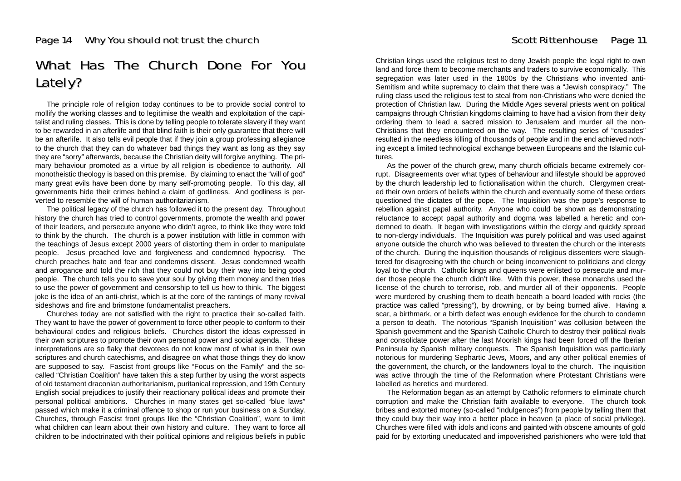## What Has The Church Done For You Lately?

The principle role of religion today continues to be to provide social control to mollify the working classes and to legitimise the wealth and exploitation of the capitalist and ruling classes. This is done by telling people to tolerate slavery if they want to be rewarded in an afterlife and that blind faith is their only guarantee that there will be an afterlife. It also tells evil people that if they join a group professing allegiance to the church that they can do whatever bad things they want as long as they say they are "sorry" afterwards, because the Christian deity will forgive anything. The primary behaviour promoted as a virtue by all religion is obedience to authority. All monotheistic theology is based on this premise. By claiming to enact the "will of god" many great evils have been done by many self-promoting people. To this day, all governments hide their crimes behind a claim of godliness. And godliness is perverted to resemble the will of human authoritarianism.

The political legacy of the church has followed it to the present day. Throughout history the church has tried to control governments, promote the wealth and power of their leaders, and persecute anyone who didn't agree, to think like they were told to think by the church. The church is a power institution with little in common with the teachings of Jesus except 2000 years of distorting them in order to manipulate people. Jesus preached love and forgiveness and condemned hypocrisy. The church preaches hate and fear and condemns dissent. Jesus condemned wealth and arrogance and told the rich that they could not buy their way into being good people. The church tells you to save your soul by giving them money and then tries to use the power of government and censorship to tell us how to think. The biggest joke is the idea of an anti-christ, which is at the core of the rantings of many revival sideshows and fire and brimstone fundamentalist preachers.

Churches today are not satisfied with the right to practice their so-called faith. They want to have the power of government to force other people to conform to their behavioural codes and religious beliefs. Churches distort the ideas expressed in their own scriptures to promote their own personal power and social agenda. These interpretations are so flaky that devotees do not know most of what is in their own scriptures and church catechisms, and disagree on what those things they do know are supposed to say. Fascist front groups like "Focus on the Family" and the socalled "Christian Coalition" have taken this a step further by using the worst aspects of old testament draconian authoritarianism, puritanical repression, and 19th Century English social prejudices to justify their reactionary political ideas and promote their personal political ambitions. Churches in many states get so-called "blue laws" passed which make it a criminal offence to shop or run your business on a Sunday. Churches, through Fascist front groups like the "Christian Coalition", want to limit what children can learn about their own history and culture. They want to force all children to be indoctrinated with their political opinions and religious beliefs in public

Christian kings used the religious test to deny Jewish people the legal right to own land and force them to become merchants and traders to survive economically. This segregation was later used in the 1800s by the Christians who invented anti-Semitism and white supremacy to claim that there was a "Jewish conspiracy." The ruling class used the religious test to steal from non-Christians who were denied the protection of Christian law. During the Middle Ages several priests went on political campaigns through Christian kingdoms claiming to have had a vision from their deity ordering them to lead a sacred mission to Jerusalem and murder all the non-Christians that they encountered on the way. The resulting series of "crusades" resulted in the needless killing of thousands of people and in the end achieved nothing except a limited technological exchange between Europeans and the Islamic cultures.

As the power of the church grew, many church officials became extremely corrupt. Disagreements over what types of behaviour and lifestyle should be approved by the church leadership led to fictionalisation within the church. Clergymen created their own orders of beliefs within the church and eventually some of these orders questioned the dictates of the pope. The Inquisition was the pope's response to rebellion against papal authority. Anyone who could be shown as demonstrating reluctance to accept papal authority and dogma was labelled a heretic and condemned to death. It began with investigations within the clergy and quickly spread to non-clergy individuals. The Inquisition was purely political and was used against anyone outside the church who was believed to threaten the church or the interests of the church. During the inquisition thousands of religious dissenters were slaughtered for disagreeing with the church or being inconvenient to politicians and clergy loyal to the church. Catholic kings and queens were enlisted to persecute and murder those people the church didn't like. With this power, these monarchs used the license of the church to terrorise, rob, and murder all of their opponents. People were murdered by crushing them to death beneath a board loaded with rocks (the practice was called "pressing"), by drowning, or by being burned alive. Having a scar, a birthmark, or a birth defect was enough evidence for the church to condemn a person to death. The notorious "Spanish Inquisition" was collusion between the Spanish government and the Spanish Catholic Church to destroy their political rivals and consolidate power after the last Moorish kings had been forced off the Iberian Peninsula by Spanish military conquests. The Spanish Inquisition was particularly notorious for murdering Sephartic Jews, Moors, and any other political enemies of the government, the church, or the landowners loyal to the church. The inquisition was active through the time of the Reformation where Protestant Christians were labelled as heretics and murdered.

The Reformation began as an attempt by Catholic reformers to eliminate church corruption and make the Christian faith available to everyone. The church took bribes and extorted money (so-called "indulgences") from people by telling them that they could buy their way into a better place in heaven (a place of social privilege). Churches were filled with idols and icons and painted with obscene amounts of gold paid for by extorting uneducated and impoverished parishioners who were told that